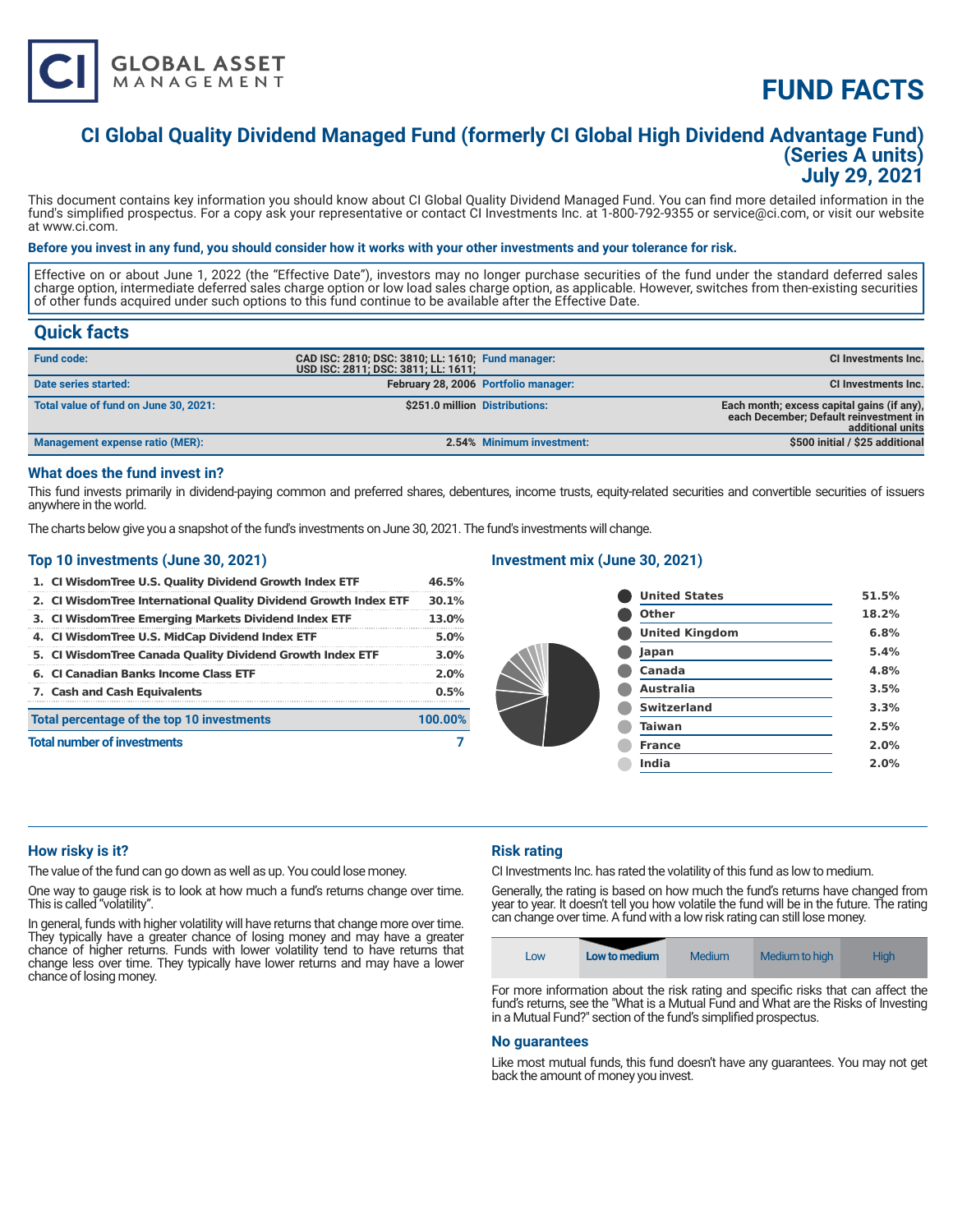

# **CI Global Quality Dividend Managed Fund (formerly CI Global High Dividend Advantage Fund) (Series A units) July 29, 2021**

This document contains key information you should know about CI Global Quality Dividend Managed Fund. You can find more detailed information in the fund's simplified prospectus. For a copy ask your representative or contact CI Investments Inc. at 1-800-792-9355 or service@ci.com, or visit our website at www.ci.com.

# **Before you invest in any fund, you should consider how it works with your other investments and your tolerance for risk.**

Effective on or about June 1, 2022 (the "Effective Date"), investors may no longer purchase securities of the fund under the standard deferred sales charge option, intermediate deferred sales charge option or low load sales charge option, as applicable. However, switches from then-existing securities of other funds acquired under such options to this fund continue to be available after the Effective Date.

# **Quick facts**

| <b>Fund code:</b>                     | CAD ISC: 2810; DSC: 3810; LL: 1610; Fund manager:<br>USD ISC: 2811; DSC: 3811; LL: 1611; |                                      | <b>CI Investments Inc.</b>                                                                               |
|---------------------------------------|------------------------------------------------------------------------------------------|--------------------------------------|----------------------------------------------------------------------------------------------------------|
| Date series started:                  |                                                                                          | February 28, 2006 Portfolio manager: | <b>CI Investments Inc.</b>                                                                               |
| Total value of fund on June 30, 2021: | \$251.0 million Distributions:                                                           |                                      | Each month; excess capital gains (if any),<br>each December; Default reinvestment in<br>additional units |
| Management expense ratio (MER):       |                                                                                          | 2.54% Minimum investment:            | \$500 initial / \$25 additional                                                                          |

#### **What does the fund invest in?**

This fund invests primarily in dividend-paying common and preferred shares, debentures, income trusts, equity-related securities and convertible securities of issuers anywhere in the world.

The charts below give you a snapshot of the fund's investments on June 30, 2021. The fund's investments will change.

### **Top 10 investments (June 30, 2021)**

**GLOBAL ASSET**<br>MANAGEMENT

| <b>Total number of investments</b>                               |         |
|------------------------------------------------------------------|---------|
| Total percentage of the top 10 investments                       | 100.00% |
| 7. Cash and Cash Equivalents                                     | 0.5%    |
| 6. CI Canadian Banks Income Class ETF                            | 2.0%    |
| 5. CI WisdomTree Canada Quality Dividend Growth Index ETF        | 3.0%    |
| 4. CI WisdomTree U.S. MidCap Dividend Index ETF                  | 5.0%    |
| 3. CI Wisdom Tree Emerging Markets Dividend Index ETF            | 13.0%   |
| 2. CI WisdomTree International Quality Dividend Growth Index ETF | 30.1%   |
| 1. CI Wisdom Tree U.S. Quality Dividend Growth Index ETF         | 46.5%   |

# **Investment mix (June 30, 2021)**

| <b>United States</b>  | 51.5% |
|-----------------------|-------|
| Other                 | 18.2% |
| <b>United Kingdom</b> | 6.8%  |
| Japan                 | 5.4%  |
| Canada                | 4.8%  |
| <b>Australia</b>      | 3.5%  |
| <b>Switzerland</b>    | 3.3%  |
| <b>Taiwan</b>         | 2.5%  |
| <b>France</b>         | 2.0%  |
| <b>India</b>          | 2.0%  |
|                       |       |

#### **How risky is it?**

The value of the fund can go down as well as up. You could lose money.

One way to gauge risk is to look at how much a fund's returns change over time. This is called "volatility".

In general, funds with higher volatility will have returns that change more over time. They typically have a greater chance of losing money and may have a greater chance of higher returns. Funds with lower volatility tend to have returns that change less over time. They typically have lower returns and may have a lower chance of losing money.

# **Risk rating**

CI Investments Inc. has rated the volatility of this fund as low to medium.

Generally, the rating is based on how much the fund's returns have changed from year to year. It doesn't tell you how volatile the fund will be in the future. The rating can change over time. A fund with a low risk rating can still lose money.

| Low | Low to medium | <b>Medium</b> | Medium to high                                                                         | <b>High</b> |
|-----|---------------|---------------|----------------------------------------------------------------------------------------|-------------|
|     |               |               | tar waxna infarmaatian ahacut tha siale satina anal anaaifia sialea that aan affaat th |             |

For more information about the risk rating and specific risks that can affect the fund's returns, see the "What is a Mutual Fund and What are the Risks of Investing in a Mutual Fund?" section of the fund's simplified prospectus.

#### **No guarantees**

Like most mutual funds, this fund doesn't have any guarantees. You may not get back the amount of money you invest.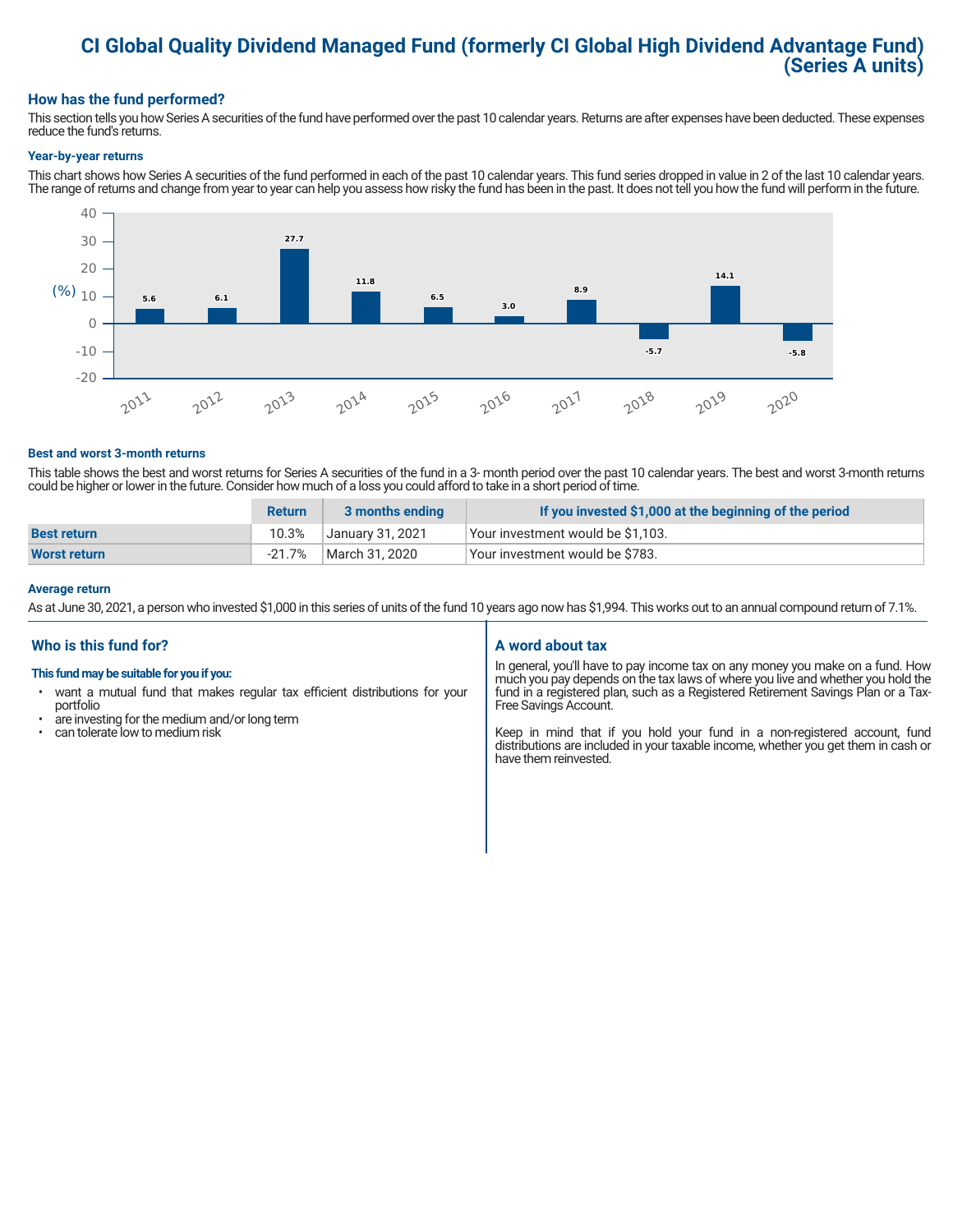# **CI Global Quality Dividend Managed Fund (formerly CI Global High Dividend Advantage Fund) (Series A units)**

# **How has the fund performed?**

This section tells you how Series A securities of the fund have performed over the past 10 calendar years. Returns are after expenses have been deducted. These expenses reduce the fund's returns.

#### **Year-by-year returns**

This chart shows how Series A securities of the fund performed in each of the past 10 calendar years. This fund series dropped in value in 2 of the last 10 calendar years. The range of returns and change from year to year can help you assess how risky the fund has been in the past. It does not tell you how the fund will perform in the future.



#### **Best and worst 3-month returns**

This table shows the best and worst returns for Series A securities of the fund in a 3- month period over the past 10 calendar years. The best and worst 3-month returns could be higher or lower in the future. Consider how much of a loss you could afford to take in a short period of time.

|                     | <b>Return</b> | 3 months ending  | If you invested \$1,000 at the beginning of the period |
|---------------------|---------------|------------------|--------------------------------------------------------|
| <b>Best return</b>  | 10.3%         | January 31, 2021 | Your investment would be \$1,103.                      |
| <b>Worst return</b> | $-21.7%$      | March 31, 2020   | Your investment would be \$783.                        |

#### **Average return**

As at June 30, 2021, a person who invested \$1,000 in this series of units of the fund 10 years ago now has \$1,994. This works out to an annual compound return of 7.1%.

# **Who is this fund for?**

#### **This fund may be suitable for you if you:**

- want a mutual fund that makes regular tax efficient distributions for your portfolio
- are investing for the medium and/or long term<br>• can tolerate low to medium risk
- can tolerate low to medium risk

# **A word about tax**

In general, you'll have to pay income tax on any money you make on a fund. How much you pay depends on the tax laws of where you live and whether you hold the fund in a registered plan, such as a Registered Retirement Savings Plan or a Tax-Free Savings Account.

Keep in mind that if you hold your fund in a non-registered account, fund distributions are included in your taxable income, whether you get them in cash or have them reinvested.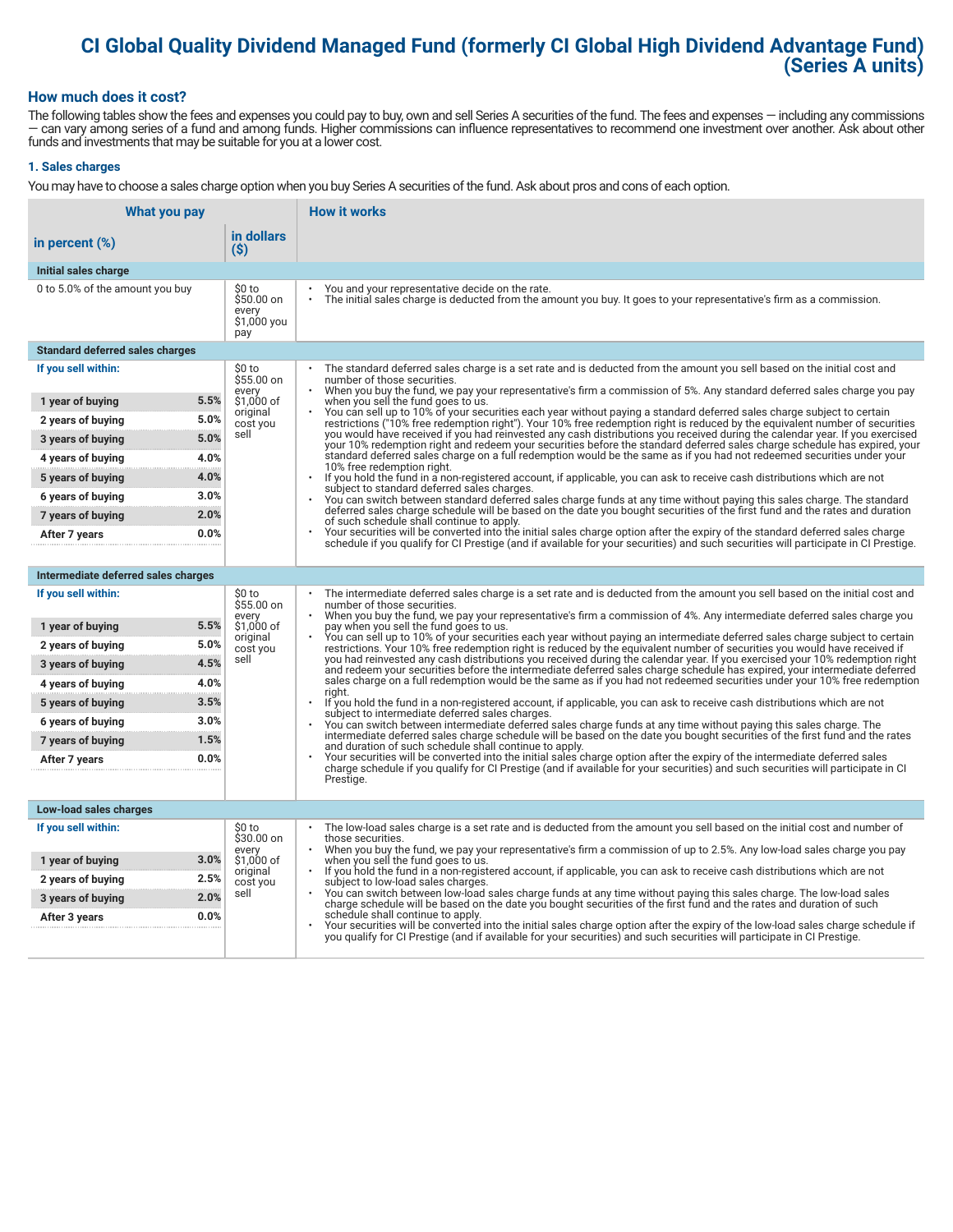# **CI Global Quality Dividend Managed Fund (formerly CI Global High Dividend Advantage Fund) (Series A units)**

# **How much does it cost?**

The following tables show the fees and expenses you could pay to buy, own and sell Series A securities of the fund. The fees and expenses — including any commissions — can vary among series of a fund and among funds. Higher commissions can influence representatives to recommend one investment over another. Ask about other funds and investments that may be suitable for you at a lower cost.

# **1. Sales charges**

You may have to choose a sales charge option when you buy Series A securities of the fund. Ask about pros and cons of each option.

| What you pay                           |                                                      | <b>How it works</b>                                                                                                                                                                                                                                                                   |  |
|----------------------------------------|------------------------------------------------------|---------------------------------------------------------------------------------------------------------------------------------------------------------------------------------------------------------------------------------------------------------------------------------------|--|
| in percent $(\%)$                      | in dollars<br>$(\$)$                                 |                                                                                                                                                                                                                                                                                       |  |
| Initial sales charge                   |                                                      |                                                                                                                                                                                                                                                                                       |  |
| 0 to 5.0% of the amount you buy        | \$0 to<br>$$50.00$ on<br>every<br>\$1,000 you<br>pay | You and your representative decide on the rate.<br>The initial sales charge is deducted from the amount you buy. It goes to your representative's firm as a commission.                                                                                                               |  |
| <b>Standard deferred sales charges</b> |                                                      |                                                                                                                                                                                                                                                                                       |  |
| If you sell within:                    | \$0 to<br>\$55.00 on                                 | The standard deferred sales charge is a set rate and is deducted from the amount you sell based on the initial cost and<br>number of those securities.<br>When you buy the fund, we pay your representative's firm a commission of 5%. Any standard deferred sales charge you pay     |  |
| 1 year of buying                       | every<br>5.5%<br>\$1,000 of                          | when you sell the fund goes to us.                                                                                                                                                                                                                                                    |  |
| 2 years of buying                      | original<br>5.0%<br>cost you                         | You can sell up to 10% of your securities each year without paying a standard deferred sales charge subject to certain<br>restrictions ("10% free redemption right"). Your 10% free redemption right is reduced by the equivalent number of securities                                |  |
| 3 years of buying                      | sell<br>5.0%                                         | you would have received if you had reinvested any cash distributions you received during the calendar year. If you exercised<br>your 10% redemption right and redeem your securities before the standard deferred sales charge schedule has expired, your                             |  |
| 4 years of buying                      | 4.0%                                                 | standard deferred sales charge on a full redemption would be the same as if you had not redeemed securities under your<br>10% free redemption right.                                                                                                                                  |  |
| 5 years of buying                      | 4.0%                                                 | If you hold the fund in a non-registered account, if applicable, you can ask to receive cash distributions which are not<br>$\ddot{\phantom{0}}$<br>subject to standard deferred sales charges.                                                                                       |  |
| 6 years of buying                      | 3.0%                                                 | You can switch between standard deferred sales charge funds at any time without paying this sales charge. The standard                                                                                                                                                                |  |
| 7 years of buying                      | 2.0%                                                 | deferred sales charge schedule will be based on the date you bought securities of the first fund and the rates and duration<br>of such schedule shall continue to apply.                                                                                                              |  |
| After 7 years                          | 0.0%                                                 | Your securities will be converted into the initial sales charge option after the expiry of the standard deferred sales charge<br>schedule if you qualify for CI Prestige (and if available for your securities) and such securities will participate in CI Prestige.                  |  |
|                                        |                                                      |                                                                                                                                                                                                                                                                                       |  |
| Intermediate deferred sales charges    |                                                      |                                                                                                                                                                                                                                                                                       |  |
| If you sell within:                    | \$0 to<br>\$55.00 on<br>every                        | The intermediate deferred sales charge is a set rate and is deducted from the amount you sell based on the initial cost and<br>number of those securities.<br>When you buy the fund, we pay your representative's firm a commission of 4%. Any intermediate deferred sales charge you |  |
| 1 year of buying                       | 5.5%<br>\$1,000 of<br>original                       | pay when you sell the fund goes to us.<br>You can sell up to 10% of your securities each year without paying an intermediate deferred sales charge subject to certain                                                                                                                 |  |
| 2 years of buying                      | 5.0%<br>cost you                                     | restrictions. Your 10% free redemption right is reduced by the equivalent number of securities you would have received if                                                                                                                                                             |  |
| 3 years of buying                      | sell<br>4.5%                                         | you had reinvested any cash distributions you received during the calendar year. If you exercised your 10% redemption right<br>and redeem your securities before the intermediate deferred sales charge schedule has expired, your intermediate deferred                              |  |
| 4 years of buying                      | 4.0%                                                 | sales charge on a full redemption would be the same as if you had not redeemed securities under your 10% free redemption<br>riaht.                                                                                                                                                    |  |
| 5 years of buying                      | 3.5%                                                 | If you hold the fund in a non-registered account, if applicable, you can ask to receive cash distributions which are not<br>subject to intermediate deferred sales charges.                                                                                                           |  |
| 6 years of buying                      | 3.0%                                                 | You can switch between intermediate deferred sales charge funds at any time without paying this sales charge. The<br>intermediate deferred sales charge schedule will be based on the date you bought securities of the first fund and the rates                                      |  |
| 7 years of buying                      | 1.5%                                                 | and duration of such schedule shall continue to apply.<br>Your securities will be converted into the initial sales charge option after the expiry of the intermediate deferred sales                                                                                                  |  |
| After 7 years                          | 0.0%                                                 | charge schedule if you qualify for CI Prestige (and if available for your securities) and such securities will participate in CI                                                                                                                                                      |  |
|                                        |                                                      | Prestige.                                                                                                                                                                                                                                                                             |  |
| Low-load sales charges                 |                                                      |                                                                                                                                                                                                                                                                                       |  |
| If you sell within:                    | \$0 to<br>\$30.00 on                                 | The low-load sales charge is a set rate and is deducted from the amount you sell based on the initial cost and number of<br>those securities.                                                                                                                                         |  |
| 1 year of buying                       | every<br>3.0%<br>\$1,000 of                          | When you buy the fund, we pay your representative's firm a commission of up to 2.5%. Any low-load sales charge you pay<br>when you sell the fund goes to us.                                                                                                                          |  |
| 2 years of buying                      | original<br>2.5%<br>cost you                         | If you hold the fund in a non-registered account, if applicable, you can ask to receive cash distributions which are not<br>subject to low-load sales charges.                                                                                                                        |  |
| 3 years of buying                      | sell<br>2.0%                                         | You can switch between low-load sales charge funds at any time without paying this sales charge. The low-load sales<br>charge schedule will be based on the date you bought securities of the first fund and the rates and duration of such                                           |  |
| After 3 years                          | 0.0%                                                 | schedule shall continue to apply.<br>Your securities will be converted into the initial sales charge option after the expiry of the low-load sales charge schedule if                                                                                                                 |  |
|                                        |                                                      | you qualify for CI Prestige (and if available for your securities) and such securities will participate in CI Prestige.                                                                                                                                                               |  |